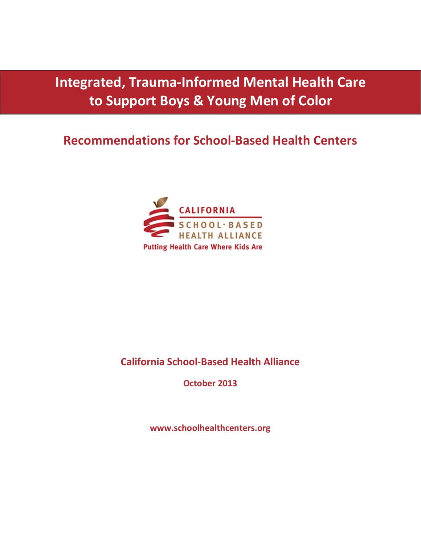**Integrated, Trauma-Informed Mental Health Care to Support Boys & Young Men of Color**

# **Recommendations for School-Based Health Centers**



# **California School-Based Health Alliance**

**October 2013**

**www.schoolhealthcenters.org**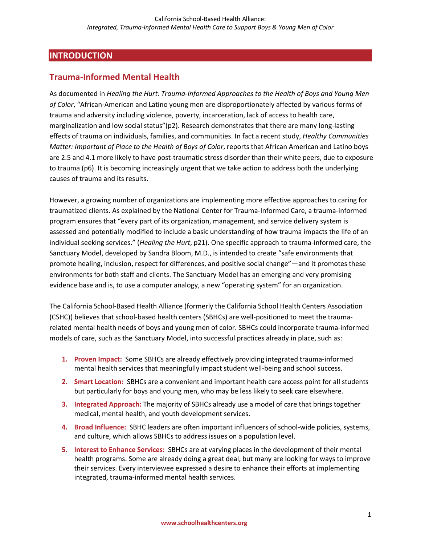#### **INTRODUCTION**

#### **Trauma-Informed Mental Health**

As documented in *Healing the Hurt: Trauma-Informed Approaches to the Health of Boys and Young Men of Color*, "African-American and Latino young men are disproportionately affected by various forms of trauma and adversity including violence, poverty, incarceration, lack of access to health care, marginalization and low social status"(p2). Research demonstrates that there are many long-lasting effects of trauma on individuals, families, and communities. In fact a recent study, *Healthy Communities Matter: Important of Place to the Health of Boys of Color*, reports that African American and Latino boys are 2.5 and 4.1 more likely to have post-traumatic stress disorder than their white peers, due to exposure to trauma (p6). It is becoming increasingly urgent that we take action to address both the underlying causes of trauma and its results.

However, a growing number of organizations are implementing more effective approaches to caring for traumatized clients. As explained by the National Center for Trauma-Informed Care, a trauma-informed program ensures that "every part of its organization, management, and service delivery system is assessed and potentially modified to include a basic understanding of how trauma impacts the life of an individual seeking services." (*Healing the Hurt*, p21). One specific approach to trauma-informed care, the Sanctuary Model, developed by Sandra Bloom, M.D., is intended to create "safe environments that promote healing, inclusion, respect for differences, and positive social change"—and it promotes these environments for both staff and clients. The Sanctuary Model has an emerging and very promising evidence base and is, to use a computer analogy, a new "operating system" for an organization.

The California School-Based Health Alliance (formerly the California School Health Centers Association (CSHC)) believes that school-based health centers (SBHCs) are well-positioned to meet the traumarelated mental health needs of boys and young men of color. SBHCs could incorporate trauma-informed models of care, such as the Sanctuary Model, into successful practices already in place, such as:

- **1. Proven Impact:** Some SBHCs are already effectively providing integrated trauma-informed mental health services that meaningfully impact student well-being and school success.
- **2. Smart Location:** SBHCs are a convenient and important health care access point for all students but particularly for boys and young men, who may be less likely to seek care elsewhere.
- **3. Integrated Approach:** The majority of SBHCs already use a model of care that brings together medical, mental health, and youth development services.
- **4. Broad Influence:** SBHC leaders are often important influencers of school-wide policies, systems, and culture, which allows SBHCs to address issues on a population level.
- **5. Interest to Enhance Services:** SBHCs are at varying places in the development of their mental health programs. Some are already doing a great deal, but many are looking for ways to improve their services. Every interviewee expressed a desire to enhance their efforts at implementing integrated, trauma-informed mental health services.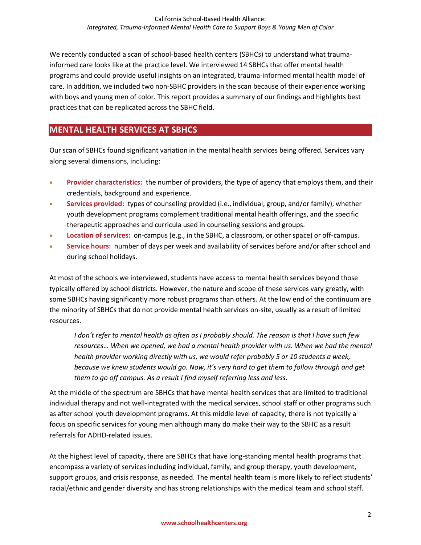We recently conducted a scan of school-based health centers (SBHCs) to understand what traumainformed care looks like at the practice level. We interviewed 14 SBHCs that offer mental health programs and could provide useful insights on an integrated, trauma-informed mental health model of care. In addition, we included two non-SBHC providers in the scan because of their experience working with boys and young men of color. This report provides a summary of our findings and highlights best practices that can be replicated across the SBHC field.

#### **MENTAL HEALTH SERVICES AT SBHCS**

Our scan of SBHCs found significant variation in the mental health services being offered. Services vary along several dimensions, including:

- **Provider characteristics:** the number of providers, the type of agency that employs them, and their credentials, background and experience.
- **Services provided:** types of counseling provided (i.e., individual, group, and/or family), whether youth development programs complement traditional mental health offerings, and the specific therapeutic approaches and curricula used in counseling sessions and groups.
- **Location of services:** on-campus (e.g., in the SBHC, a classroom, or other space) or off-campus.
- **Service hours:** number of days per week and availability of services before and/or after school and during school holidays.

At most of the schools we interviewed, students have access to mental health services beyond those typically offered by school districts. However, the nature and scope of these services vary greatly, with some SBHCs having significantly more robust programs than others. At the low end of the continuum are the minority of SBHCs that do not provide mental health services on-site, usually as a result of limited resources.

*I don't refer to mental health as often as I probably should. The reason is that I have such few*  resources... When we opened, we had a mental health provider with us. When we had the mental *health provider working directly with us, we would refer probably 5 or 10 students a week, because we knew students would go. Now, it's very hard to get them to follow through and get them to go off campus. As a result I find myself referring less and less.*

At the middle of the spectrum are SBHCs that have mental health services that are limited to traditional individual therapy and not well-integrated with the medical services, school staff or other programs such as after school youth development programs. At this middle level of capacity, there is not typically a focus on specific services for young men although many do make their way to the SBHC as a result referrals for ADHD-related issues.

At the highest level of capacity, there are SBHCs that have long-standing mental health programs that encompass a variety of services including individual, family, and group therapy, youth development, support groups, and crisis response, as needed. The mental health team is more likely to reflect students' racial/ethnic and gender diversity and has strong relationships with the medical team and school staff.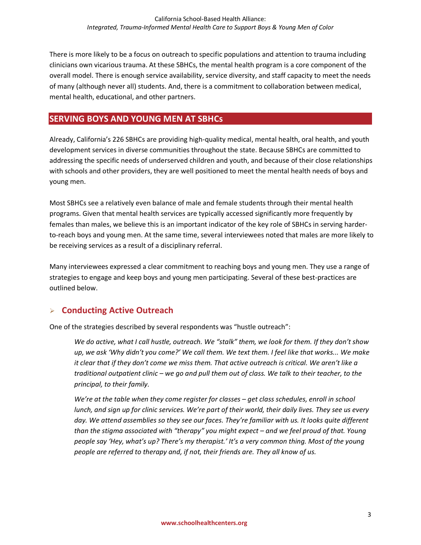There is more likely to be a focus on outreach to specific populations and attention to trauma including clinicians own vicarious trauma. At these SBHCs, the mental health program is a core component of the overall model. There is enough service availability, service diversity, and staff capacity to meet the needs of many (although never all) students. And, there is a commitment to collaboration between medical, mental health, educational, and other partners.

#### **SERVING BOYS AND YOUNG MEN AT SBHCs**

Already, California's 226 SBHCs are providing high-quality medical, mental health, oral health, and youth development services in diverse communities throughout the state. Because SBHCs are committed to addressing the specific needs of underserved children and youth, and because of their close relationships with schools and other providers, they are well positioned to meet the mental health needs of boys and young men.

Most SBHCs see a relatively even balance of male and female students through their mental health programs. Given that mental health services are typically accessed significantly more frequently by females than males, we believe this is an important indicator of the key role of SBHCs in serving harderto-reach boys and young men. At the same time, several interviewees noted that males are more likely to be receiving services as a result of a disciplinary referral.

Many interviewees expressed a clear commitment to reaching boys and young men. They use a range of strategies to engage and keep boys and young men participating. Several of these best-practices are outlined below.

# **Conducting Active Outreach**

One of the strategies described by several respondents was "hustle outreach":

*We do active, what I call hustle, outreach. We "stalk" them, we look for them. If they don't show up, we ask 'Why didn't you come?' We call them. We text them. I feel like that works... We make it clear that if they don't come we miss them. That active outreach is critical. We aren't like a traditional outpatient clinic – we go and pull them out of class. We talk to their teacher, to the principal, to their family.* 

*We're at the table when they come register for classes – get class schedules, enroll in school lunch, and sign up for clinic services. We're part of their world, their daily lives. They see us every day. We attend assemblies so they see our faces. They're familiar with us. It looks quite different than the stigma associated with "therapy" you might expect – and we feel proud of that. Young people say 'Hey, what's up? There's my therapist.' It's a very common thing. Most of the young people are referred to therapy and, if not, their friends are. They all know of us.*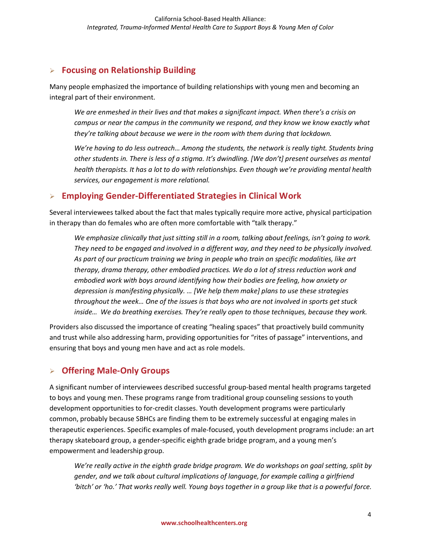# **Focusing on Relationship Building**

Many people emphasized the importance of building relationships with young men and becoming an integral part of their environment.

*We are enmeshed in their lives and that makes a significant impact. When there's a crisis on campus or near the campus in the community we respond, and they know we know exactly what they're talking about because we were in the room with them during that lockdown.*

*We're having to do less outreach… Among the students, the network is really tight. Students bring other students in. There is less of a stigma. It's dwindling. [We don't] present ourselves as mental health therapists. It has a lot to do with relationships. Even though we're providing mental health services, our engagement is more relational.*

# **Employing Gender-Differentiated Strategies in Clinical Work**

Several interviewees talked about the fact that males typically require more active, physical participation in therapy than do females who are often more comfortable with "talk therapy."

*We emphasize clinically that just sitting still in a room, talking about feelings, isn't going to work. They need to be engaged and involved in a different way, and they need to be physically involved. As part of our practicum training we bring in people who train on specific modalities, like art therapy, drama therapy, other embodied practices. We do a lot of stress reduction work and embodied work with boys around identifying how their bodies are feeling, how anxiety or depression is manifesting physically. … [We help them make] plans to use these strategies throughout the week… One of the issues is that boys who are not involved in sports get stuck inside… We do breathing exercises. They're really open to those techniques, because they work.*

Providers also discussed the importance of creating "healing spaces" that proactively build community and trust while also addressing harm, providing opportunities for "rites of passage" interventions, and ensuring that boys and young men have and act as role models.

# **Offering Male-Only Groups**

A significant number of interviewees described successful group-based mental health programs targeted to boys and young men. These programs range from traditional group counseling sessions to youth development opportunities to for-credit classes. Youth development programs were particularly common, probably because SBHCs are finding them to be extremely successful at engaging males in therapeutic experiences. Specific examples of male-focused, youth development programs include: an art therapy skateboard group, a gender-specific eighth grade bridge program, and a young men's empowerment and leadership group.

*We're really active in the eighth grade bridge program. We do workshops on goal setting, split by gender, and we talk about cultural implications of language, for example calling a girlfriend 'bitch' or 'ho.' That works really well. Young boys together in a group like that is a powerful force.*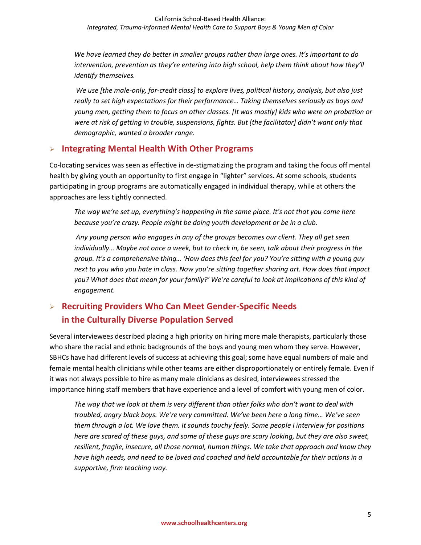*We have learned they do better in smaller groups rather than large ones. It's important to do intervention, prevention as they're entering into high school, help them think about how they'll identify themselves.*

*We use [the male-only, for-credit class] to explore lives, political history, analysis, but also just really to set high expectations for their performance… Taking themselves seriously as boys and young men, getting them to focus on other classes. [It was mostly] kids who were on probation or were at risk of getting in trouble, suspensions, fights. But [the facilitator] didn't want only that demographic, wanted a broader range.*

# **Integrating Mental Health With Other Programs**

Co-locating services was seen as effective in de-stigmatizing the program and taking the focus off mental health by giving youth an opportunity to first engage in "lighter" services. At some schools, students participating in group programs are automatically engaged in individual therapy, while at others the approaches are less tightly connected.

*The way we're set up, everything's happening in the same place. It's not that you come here because you're crazy. People might be doing youth development or be in a club.*

*Any young person who engages in any of the groups becomes our client. They all get seen individually… Maybe not once a week, but to check in, be seen, talk about their progress in the group. It's a comprehensive thing… 'How does this feel for you? You're sitting with a young guy next to you who you hate in class. Now you're sitting together sharing art. How does that impact you? What does that mean for your family?' We're careful to look at implications of this kind of engagement.*

# **Recruiting Providers Who Can Meet Gender-Specific Needs in the Culturally Diverse Population Served**

Several interviewees described placing a high priority on hiring more male therapists, particularly those who share the racial and ethnic backgrounds of the boys and young men whom they serve. However, SBHCs have had different levels of success at achieving this goal; some have equal numbers of male and female mental health clinicians while other teams are either disproportionately or entirely female. Even if it was not always possible to hire as many male clinicians as desired, interviewees stressed the importance hiring staff members that have experience and a level of comfort with young men of color.

*The way that we look at them is very different than other folks who don't want to deal with troubled, angry black boys. We're very committed. We've been here a long time… We've seen them through a lot. We love them. It sounds touchy feely. Some people I interview for positions here are scared of these guys, and some of these guys are scary looking, but they are also sweet, resilient, fragile, insecure, all those normal, human things. We take that approach and know they have high needs, and need to be loved and coached and held accountable for their actions in a supportive, firm teaching way.*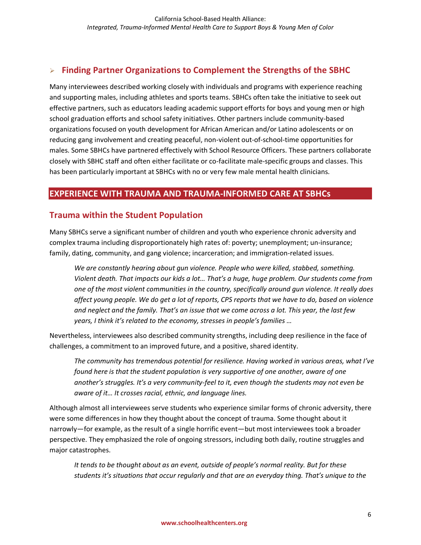# **Finding Partner Organizations to Complement the Strengths of the SBHC**

Many interviewees described working closely with individuals and programs with experience reaching and supporting males, including athletes and sports teams. SBHCs often take the initiative to seek out effective partners, such as educators leading academic support efforts for boys and young men or high school graduation efforts and school safety initiatives. Other partners include community-based organizations focused on youth development for African American and/or Latino adolescents or on reducing gang involvement and creating peaceful, non-violent out-of-school-time opportunities for males. Some SBHCs have partnered effectively with School Resource Officers. These partners collaborate closely with SBHC staff and often either facilitate or co-facilitate male-specific groups and classes. This has been particularly important at SBHCs with no or very few male mental health clinicians.

#### **EXPERIENCE WITH TRAUMA AND TRAUMA-INFORMED CARE AT SBHCs**

#### **Trauma within the Student Population**

Many SBHCs serve a significant number of children and youth who experience chronic adversity and complex trauma including disproportionately high rates of: poverty; unemployment; un-insurance; family, dating, community, and gang violence; incarceration; and immigration-related issues.

*We are constantly hearing about gun violence. People who were killed, stabbed, something. Violent death. That impacts our kids a lot… That's a huge, huge problem. Our students come from one of the most violent communities in the country, specifically around gun violence. It really does affect young people. We do get a lot of reports, CPS reports that we have to do, based on violence and neglect and the family. That's an issue that we come across a lot. This year, the last few years, I think it's related to the economy, stresses in people's families …*

Nevertheless, interviewees also described community strengths, including deep resilience in the face of challenges, a commitment to an improved future, and a positive, shared identity.

*The community has tremendous potential for resilience. Having worked in various areas, what I've found here is that the student population is very supportive of one another, aware of one another's struggles. It's a very community-feel to it, even though the students may not even be aware of it… It crosses racial, ethnic, and language lines.*

Although almost all interviewees serve students who experience similar forms of chronic adversity, there were some differences in how they thought about the concept of trauma. Some thought about it narrowly—for example, as the result of a single horrific event—but most interviewees took a broader perspective. They emphasized the role of ongoing stressors, including both daily, routine struggles and major catastrophes.

*It tends to be thought about as an event, outside of people's normal reality. But for these students it's situations that occur regularly and that are an everyday thing. That's unique to the*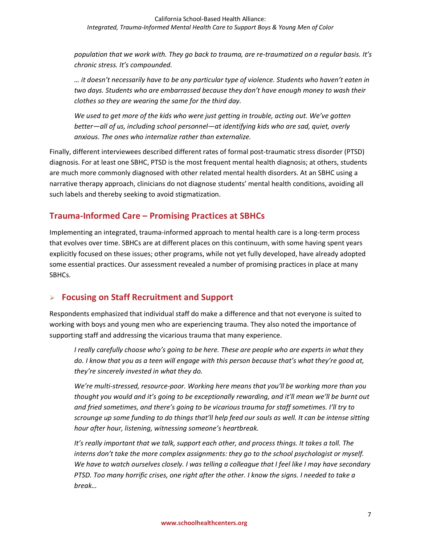*population that we work with. They go back to trauma, are re-traumatized on a regular basis. It's chronic stress. It's compounded.*

*… it doesn't necessarily have to be any particular type of violence. Students who haven't eaten in two days. Students who are embarrassed because they don't have enough money to wash their clothes so they are wearing the same for the third day.*

*We used to get more of the kids who were just getting in trouble, acting out. We've gotten better—all of us, including school personnel—at identifying kids who are sad, quiet, overly anxious. The ones who internalize rather than externalize.*

Finally, different interviewees described different rates of formal post-traumatic stress disorder (PTSD) diagnosis. For at least one SBHC, PTSD is the most frequent mental health diagnosis; at others, students are much more commonly diagnosed with other related mental health disorders. At an SBHC using a narrative therapy approach, clinicians do not diagnose students' mental health conditions, avoiding all such labels and thereby seeking to avoid stigmatization.

# **Trauma-Informed Care – Promising Practices at SBHCs**

Implementing an integrated, trauma-informed approach to mental health care is a long-term process that evolves over time. SBHCs are at different places on this continuum, with some having spent years explicitly focused on these issues; other programs, while not yet fully developed, have already adopted some essential practices. Our assessment revealed a number of promising practices in place at many SBHCs.

# **Focusing on Staff Recruitment and Support**

Respondents emphasized that individual staff do make a difference and that not everyone is suited to working with boys and young men who are experiencing trauma. They also noted the importance of supporting staff and addressing the vicarious trauma that many experience.

*I really carefully choose who's going to be here. These are people who are experts in what they do. I know that you as a teen will engage with this person because that's what they're good at, they're sincerely invested in what they do.* 

*We're multi-stressed, resource-poor. Working here means that you'll be working more than you thought you would and it's going to be exceptionally rewarding, and it'll mean we'll be burnt out and fried sometimes, and there's going to be vicarious trauma for staff sometimes. I'll try to scrounge up some funding to do things that'll help feed our souls as well. It can be intense sitting hour after hour, listening, witnessing someone's heartbreak.* 

*It's really important that we talk, support each other, and process things. It takes a toll. The interns don't take the more complex assignments: they go to the school psychologist or myself. We have to watch ourselves closely. I was telling a colleague that I feel like I may have secondary PTSD. Too many horrific crises, one right after the other. I know the signs. I needed to take a break…*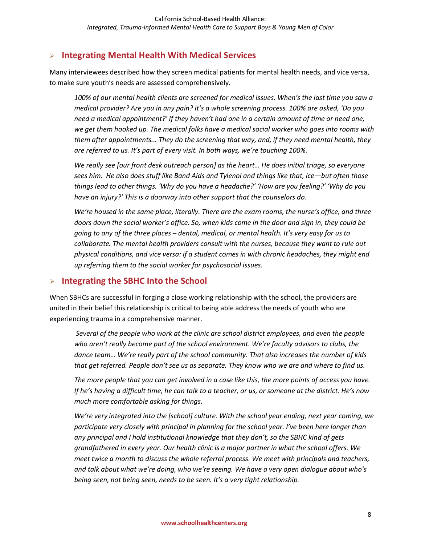#### **Integrating Mental Health With Medical Services**

Many interviewees described how they screen medical patients for mental health needs, and vice versa, to make sure youth's needs are assessed comprehensively.

*100% of our mental health clients are screened for medical issues. When's the last time you saw a medical provider? Are you in any pain? It's a whole screening process. 100% are asked, 'Do you need a medical appointment?' If they haven't had one in a certain amount of time or need one, we get them hooked up. The medical folks have a medical social worker who goes into rooms with them after appointments... They do the screening that way, and, if they need mental health, they are referred to us. It's part of every visit. In both ways, we're touching 100%.*

*We really see [our front desk outreach person] as the heart… He does initial triage, so everyone sees him. He also does stuff like Band Aids and Tylenol and things like that, ice—but often those things lead to other things. 'Why do you have a headache?' 'How are you feeling?' 'Why do you have an injury?' This is a doorway into other support that the counselors do.*

*We're housed in the same place, literally. There are the exam rooms, the nurse's office, and three doors down the social worker's office. So, when kids come in the door and sign in, they could be going to any of the three places – dental, medical, or mental health. It's very easy for us to collaborate. The mental health providers consult with the nurses, because they want to rule out physical conditions, and vice versa: if a student comes in with chronic headaches, they might end up referring them to the social worker for psychosocial issues.* 

#### **Integrating the SBHC Into the School**

When SBHCs are successful in forging a close working relationship with the school, the providers are united in their belief this relationship is critical to being able address the needs of youth who are experiencing trauma in a comprehensive manner.

*Several of the people who work at the clinic are school district employees, and even the people who aren't really become part of the school environment. We're faculty advisors to clubs, the dance team… We're really part of the school community. That also increases the number of kids that get referred. People don't see us as separate. They know who we are and where to find us.*

*The more people that you can get involved in a case like this, the more points of access you have. If he's having a difficult time, he can talk to a teacher, or us, or someone at the district. He's now much more comfortable asking for things.*

*We're very integrated into the [school] culture. With the school year ending, next year coming, we participate very closely with principal in planning for the school year. I've been here longer than any principal and I hold institutional knowledge that they don't, so the SBHC kind of gets grandfathered in every year. Our health clinic is a major partner in what the school offers. We meet twice a month to discuss the whole referral process. We meet with principals and teachers, and talk about what we're doing, who we're seeing. We have a very open dialogue about who's being seen, not being seen, needs to be seen. It's a very tight relationship.*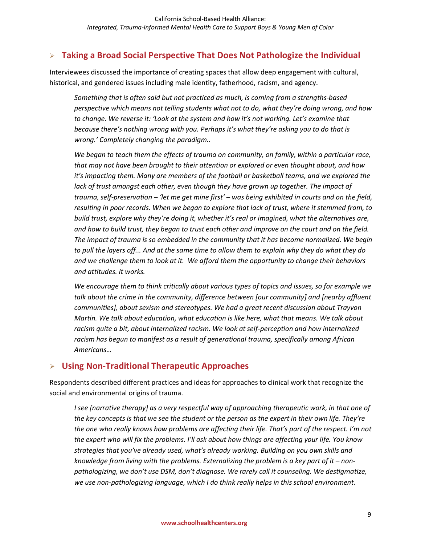# **Taking a Broad Social Perspective That Does Not Pathologize the Individual**

Interviewees discussed the importance of creating spaces that allow deep engagement with cultural, historical, and gendered issues including male identity, fatherhood, racism, and agency.

*Something that is often said but not practiced as much, is coming from a strengths-based perspective which means not telling students what not to do, what they're doing wrong, and how to change. We reverse it: 'Look at the system and how it's not working. Let's examine that because there's nothing wrong with you. Perhaps it's what they're asking you to do that is wrong.' Completely changing the paradigm..*

*We began to teach them the effects of trauma on community, on family, within a particular race, that may not have been brought to their attention or explored or even thought about, and how it's impacting them. Many are members of the football or basketball teams, and we explored the*  lack of trust amongst each other, even though they have grown up together. The impact of *trauma, self-preservation – 'let me get mine first' – was being exhibited in courts and on the field, resulting in poor records. When we began to explore that lack of trust, where it stemmed from, to build trust, explore why they're doing it, whether it's real or imagined, what the alternatives are, and how to build trust, they began to trust each other and improve on the court and on the field. The impact of trauma is so embedded in the community that it has become normalized. We begin to pull the layers off... And at the same time to allow them to explain why they do what they do and we challenge them to look at it. We afford them the opportunity to change their behaviors and attitudes. It works.*

*We encourage them to think critically about various types of topics and issues, so for example we talk about the crime in the community, difference between [our community] and [nearby affluent communities], about sexism and stereotypes. We had a great recent discussion about Trayvon Martin. We talk about education, what education is like here, what that means. We talk about racism quite a bit, about internalized racism. We look at self-perception and how internalized racism has begun to manifest as a result of generational trauma, specifically among African Americans…* 

# **Using Non-Traditional Therapeutic Approaches**

Respondents described different practices and ideas for approaches to clinical work that recognize the social and environmental origins of trauma.

*I see [narrative therapy] as a very respectful way of approaching therapeutic work, in that one of the key concepts is that we see the student or the person as the expert in their own life. They're the one who really knows how problems are affecting their life. That's part of the respect. I'm not the expert who will fix the problems. I'll ask about how things are affecting your life. You know strategies that you've already used, what's already working. Building on you own skills and knowledge from living with the problems. Externalizing the problem is a key part of it – nonpathologizing, we don't use DSM, don't diagnose. We rarely call it counseling. We destigmatize, we use non-pathologizing language, which I do think really helps in this school environment.*